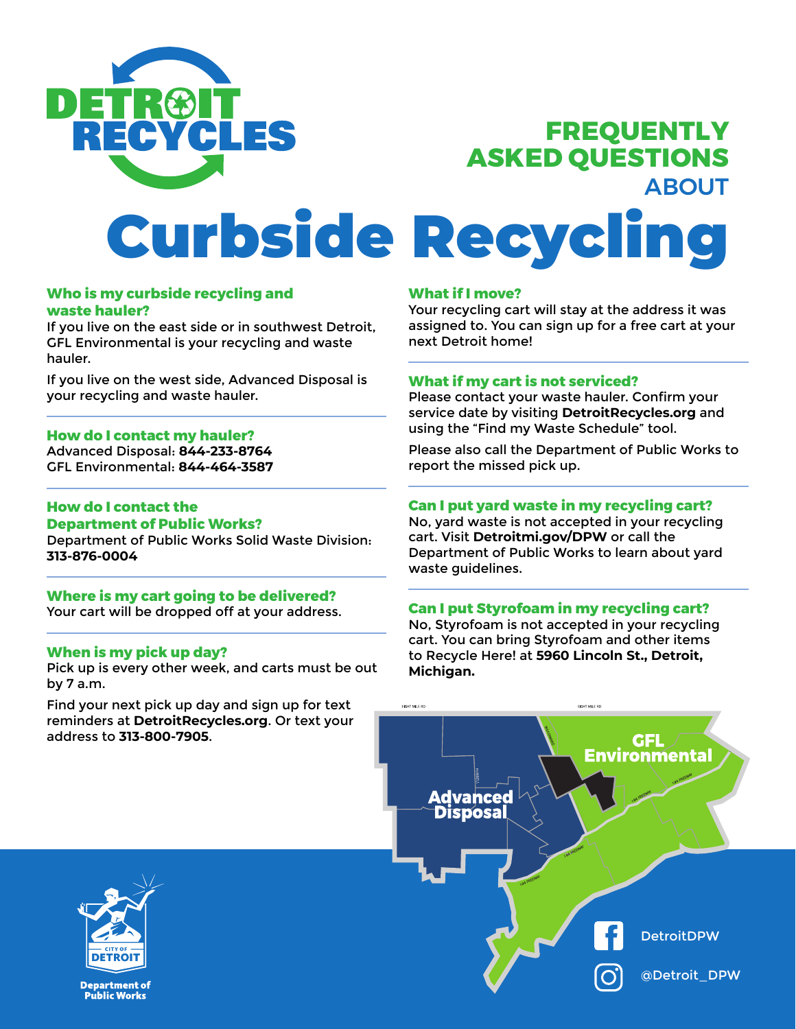

## **FREQUENTLY ASKED QUESTIONS**  ABOUT

# Curbside Recycling

#### **Who is my curbside recycling and waste hauler?**

If you live on the east side or in southwest Detroit, GFL Environmental is your recycling and waste hauler.

If you live on the west side, Advanced Disposal is your recycling and waste hauler.

#### **How do I contact my hauler?**

Advanced Disposal: **844-233-8764**  GFL Environmental: **844-464-3587**

#### **How do I contact the Department of Public Works?**

Department of Public Works Solid Waste Division: **313-876-0004** 

#### **Where is my cart going to be delivered?**

Your cart will be dropped off at your address.

#### **When is my pick up day?**

Pick up is every other week, and carts must be out by 7 a.m.

Find your next pick up day and sign up for text reminders at **DetroitRecycles.org**. Or text your address to **313-800-7905**.

#### **What if I move?**

Your recycling cart will stay at the address it was assigned to. You can sign up for a free cart at your next Detroit home!

#### **What if my cart is not serviced?**

Please contact your waste hauler. Confirm your service date by visiting **DetroitRecycles.org** and using the "Find my Waste Schedule" tool.

Please also call the Department of Public Works to report the missed pick up.

#### **Can I put yard waste in my recycling cart?**

No, yard waste is not accepted in your recycling cart. Visit **Detroitmi.gov/DPW** or call the Department of Public Works to learn about yard waste guidelines.

#### **Can I put Styrofoam in my recycling cart?**

No, Styrofoam is not accepted in your recycling cart. You can bring Styrofoam and other items to Recycle Here! at **5960 Lincoln St., Detroit, Michigan.**





**Department of Public Works**